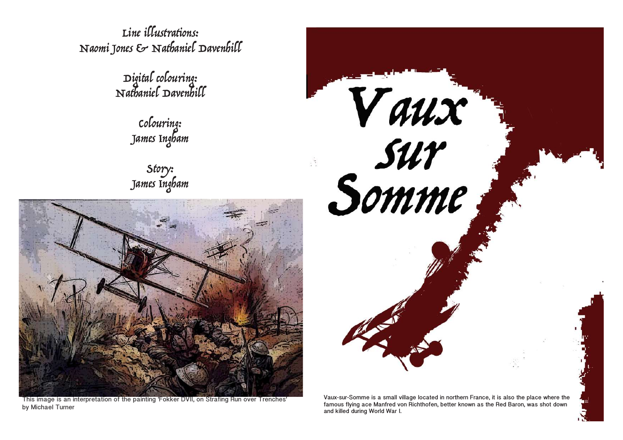Line illustrations: Naomi Jones & Nathaniel Davenhill

Digital colouring: Nathaniel Davenhill

Colouring: James Ingham

Story: James Ingham



This image is an interpretation of the painting 'Fokker DVII, on Strafing Run over Trenches' by Michael Turner



Vaux-sur-Somme is a small village located in northern France, it is also the place where the famous flying ace Manfred von Richthofen, better known as the Red Baron, was shot down and killed during World War I.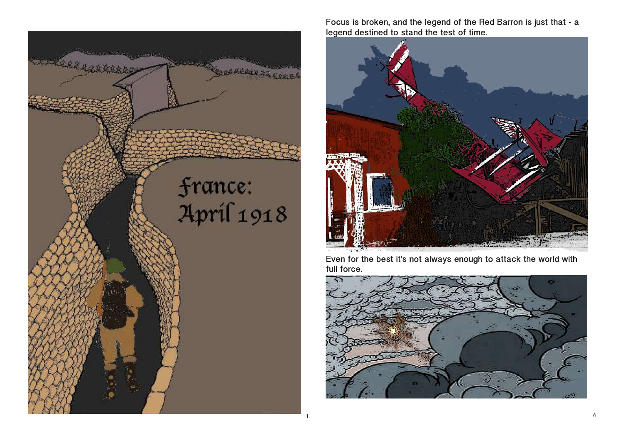

Focus is broken, and the legend of the Red Barron is just that - a legend destined to stand the test of time.



Even for the best it's not always enough to attack the world with full force.

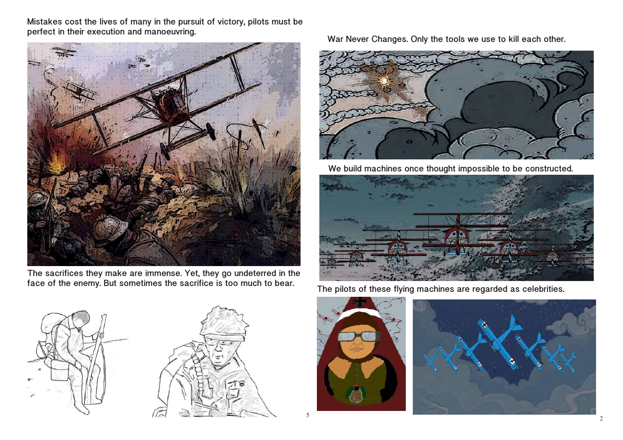Mistakes cost the lives of many in the pursuit of victory, pilots must be perfect in their execution and manoeuvring.



The sacrifices they make are immense. Yet, they go undeterred in the face of the enemy. But sometimes the sacrifice is too much to bear.





War Never Changes. Only the tools we use to kill each other.



We build machines once thought impossible to be constructed.



The pilots of these flying machines are regarded as celebrities.